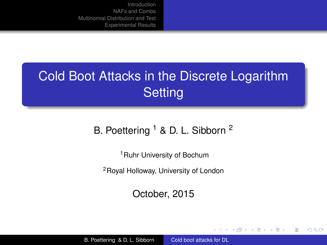# Cold Boot Attacks in the Discrete Logarithm **Setting**

#### B. Poettering <sup>1</sup> & D. L. Sibborn <sup>2</sup>

<sup>1</sup>Ruhr University of Bochum

<sup>2</sup>Royal Holloway, University of London

October, 2015

イロメ イ押 メイヨメ イヨメ

<span id="page-0-0"></span>÷.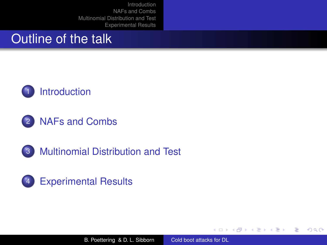### Outline of the talk









B. Poettering & D. L. Sibborn [Cold boot attacks for DL](#page-0-0)

イロメ イ押 メイヨメ イヨメ

÷.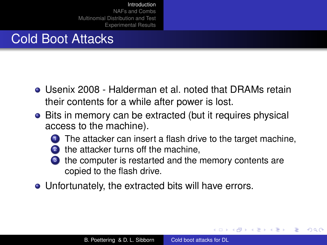# Cold Boot Attacks

- Usenix 2008 Halderman et al. noted that DRAMs retain their contents for a while after power is lost.
- Bits in memory can be extracted (but it requires physical access to the machine).
	- The attacker can insert a flash drive to the target machine,
	- 2 the attacker turns off the machine,
	- <sup>3</sup> the computer is restarted and the memory contents are copied to the flash drive.
- Unfortunately, the extracted bits will have errors.

<span id="page-2-0"></span> $2Q$ 

④ → ④ → ④ ⇒ → → →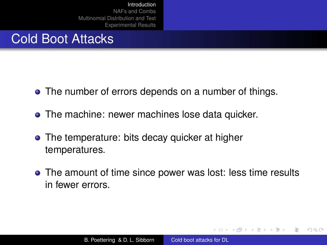# Cold Boot Attacks

- The number of errors depends on a number of things.
- The machine: newer machines lose data quicker.
- The temperature: bits decay quicker at higher temperatures.
- The amount of time since power was lost: less time results in fewer errors.

K 御 ▶ K ヨ ▶ K ヨ ▶

4 0 8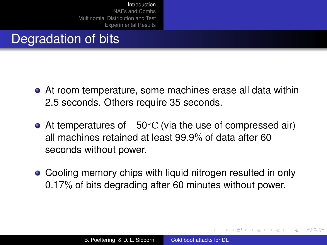# Degradation of bits

- At room temperature, some machines erase all data within 2.5 seconds. Others require 35 seconds.
- At temperatures of  $-50^{\circ}$ C (via the use of compressed air) all machines retained at least 99.9% of data after 60 seconds without power.
- Cooling memory chips with liquid nitrogen resulted in only 0.17% of bits degrading after 60 minutes without power.

← 何 ト + ヨ ト

 $\Omega$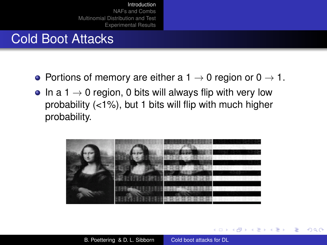# Cold Boot Attacks

- Portions of memory are either a  $1 \rightarrow 0$  region or  $0 \rightarrow 1$ .
- In a 1  $\rightarrow$  0 region, 0 bits will always flip with very low probability (<1%), but 1 bits will flip with much higher probability.



 $290$ 

← 伊 ト + ヨ ト

4 0 8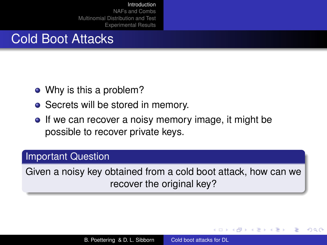# Cold Boot Attacks

- Why is this a problem?
- Secrets will be stored in memory.
- If we can recover a noisy memory image, it might be possible to recover private keys.

#### Important Question

Given a noisy key obtained from a cold boot attack, how can we recover the original key?

 $2Q$ 

④ → ④ → ④ ⇒ → → →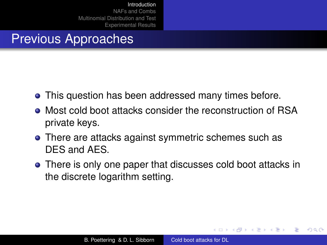## Previous Approaches

- This question has been addressed many times before.
- Most cold boot attacks consider the reconstruction of RSA private keys.
- There are attacks against symmetric schemes such as DES and AES.
- There is only one paper that discusses cold boot attacks in the discrete logarithm setting.

 $\langle \oplus \rangle$  +  $\langle \oplus \rangle$  +  $\langle$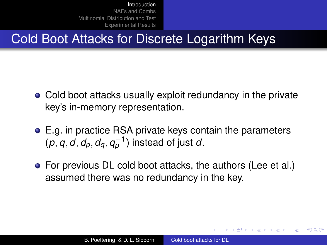# Cold Boot Attacks for Discrete Logarithm Keys

- Cold boot attacks usually exploit redundancy in the private key's in-memory representation.
- E.g. in practice RSA private keys contain the parameters  $(p, q, d, d_p, d_q, q_p^{-1})$  instead of just *d*.
- For previous DL cold boot attacks, the authors (Lee et al.) assumed there was no redundancy in the key.

K 御 ▶ K ヨ ▶ K ヨ ▶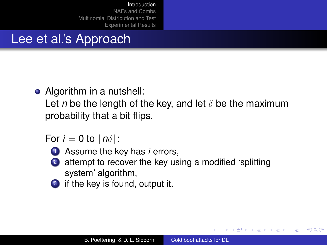# Lee et al.'s Approach

• Algorithm in a nutshell:

Let *n* be the length of the key, and let  $\delta$  be the maximum probability that a bit flips.

For  $i = 0$  to  $|n\delta|$ :



**1** Assume the key has *i* errors,

- <sup>2</sup> attempt to recover the key using a modified 'splitting system' algorithm,
- if the key is found, output it.

K ロ ⊁ K 何 ≯ K ヨ ⊁ K ヨ ⊁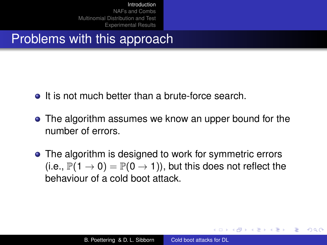Problems with this approach

- **It is not much better than a brute-force search.**
- The algorithm assumes we know an upper bound for the number of errors.
- The algorithm is designed to work for symmetric errors (i.e.,  $\mathbb{P}(1 \to 0) = \mathbb{P}(0 \to 1)$ ), but this does not reflect the behaviour of a cold boot attack.

K 御 ▶ K ヨ ▶ K ヨ ▶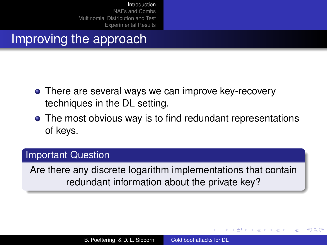### Improving the approach

- There are several ways we can improve key-recovery techniques in the DL setting.
- The most obvious way is to find redundant representations of keys.

#### Important Question

Are there any discrete logarithm implementations that contain redundant information about the private key?

イロメ イ押 メイヨメ イヨメ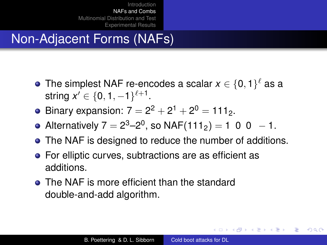# Non-Adjacent Forms (NAFs)

- The simplest NAF re-encodes a scalar  $x \in \{0,1\}^\ell$  as a string  $x' \in \{0, 1, -1\}^{\ell+1}$ .
- Binary expansion:  $7 = 2^2 + 2^1 + 2^0 = 111_2$ .
- Alternatively  $7 = 2^3 2^0$ , so NAF $(111_2) = 1$  0 0  $-1$ .
- The NAF is designed to reduce the number of additions.
- For elliptic curves, subtractions are as efficient as additions.
- The NAF is more efficient than the standard double-and-add algorithm.

イロメ 不優 トメ ヨ メ ス ヨ メー

<span id="page-12-0"></span>ă.  $QQ$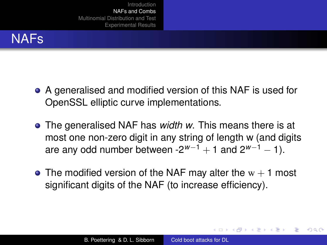## NAFs

- A generalised and modified version of this NAF is used for OpenSSL elliptic curve implementations.
- The generalised NAF has *width w*. This means there is at most one non-zero digit in any string of length w (and digits are any odd number between  $-2^{w-1} + 1$  and  $2^{w-1} - 1$ ).
- The modified version of the NAF may alter the  $w + 1$  most significant digits of the NAF (to increase efficiency).

 $\left\{ \begin{array}{ccc} 1 & 0 & 0 \\ 0 & 1 & 0 \end{array} \right.$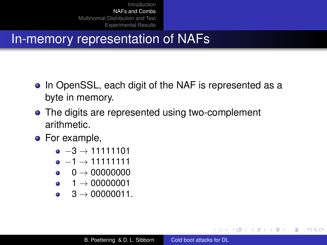### In-memory representation of NAFs

- In OpenSSL, each digit of the NAF is represented as a byte in memory.
- The digits are represented using two-complement arithmetic.
- For example,
	- $-3 \rightarrow 11111101$
	- $-1 \rightarrow 11111111$
	- $-0 \rightarrow 00000000$
	- $-1 \rightarrow 00000001$
	- $-3 \rightarrow 00000011$ .

イロト イ押 トイヨ トイヨ トー

÷.  $QQ$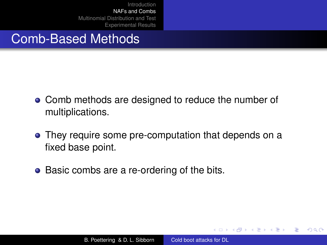### Comb-Based Methods

- Comb methods are designed to reduce the number of multiplications.
- They require some pre-computation that depends on a fixed base point.
- Basic combs are a re-ordering of the bits.

 $\langle \oplus \rangle$  >  $\langle \oplus \rangle$  >  $\langle \oplus \rangle$ 

4 0 8

ă.  $QQ$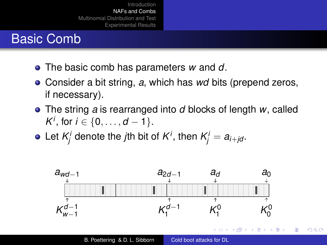## Basic Comb

- The basic comb has parameters *w* and *d*.
- Consider a bit string, *a*, which has *wd* bits (prepend zeros, if necessary).
- The string *a* is rearranged into *d* blocks of length *w*, called *K*<sup>*i*</sup>, for *i* ∈ {0, . . . , *d* − 1}.
- Let  $\mathcal{K}^i_j$  denote the *j*th bit of  $\mathcal{K}^i$ , then  $\mathcal{K}^i_j = a_{i+jd}$ .

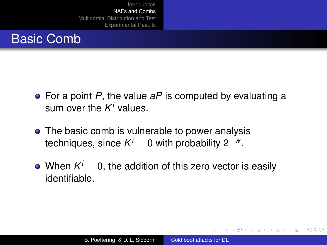### Basic Comb

- For a point *P*, the value *aP* is computed by evaluating a sum over the *K <sup>i</sup>* values.
- The basic comb is vulnerable to power analysis techniques, since  $\mathcal{K}^i = \underline{0}$  with probability 2<sup>-w</sup>.
- When  $K^i=\underline{0},$  the addition of this zero vector is easily identifiable.

イロメ イ押 メイヨメ イヨメ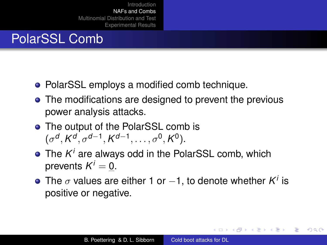# PolarSSL Comb

- PolarSSL employs a modified comb technique.
- The modifications are designed to prevent the previous power analysis attacks.
- The output of the PolarSSL comb is  $(\sigma^d, K^d, \sigma^{d-1}, K^{d-1}, \ldots, \sigma^0, K^0).$
- The *K <sup>i</sup>* are always odd in the PolarSSL comb, which prevents  $K^i = \underline{0}$ .
- The  $\sigma$  values are either 1 or  $-1$ , to denote whether  $K^i$  is positive or negative.

イロメ イ押 メイヨメ イヨメ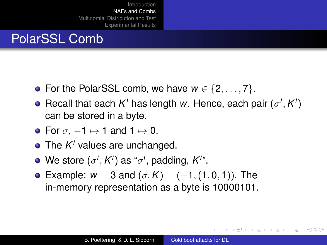# PolarSSL Comb

- For the PolarSSL comb, we have  $w \in \{2, \ldots, 7\}$ .
- Recall that each  $K^i$  has length *w*. Hence, each pair  $(\sigma^i, K^i)$ can be stored in a byte.
- For  $\sigma$ ,  $-1 \mapsto 1$  and  $1 \mapsto 0$ .
- The *K <sup>i</sup>* values are unchanged.
- We store  $(\sigma^i, K^i)$  as " $\sigma^i$ , padding,  $K^i$ ".
- $\bullet$  Example: *w* = 3 and (*σ*, *K*) = (−1, (1, 0, 1)). The in-memory representation as a byte is 10000101.

 $\left\{ \begin{array}{ccc} 1 & 0 & 0 \\ 0 & 1 & 0 \end{array} \right.$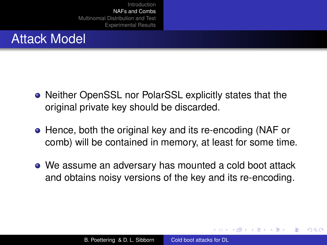### Attack Model

- Neither OpenSSL nor PolarSSL explicitly states that the original private key should be discarded.
- Hence, both the original key and its re-encoding (NAF or comb) will be contained in memory, at least for some time.
- We assume an adversary has mounted a cold boot attack and obtains noisy versions of the key and its re-encoding.

 $\Omega$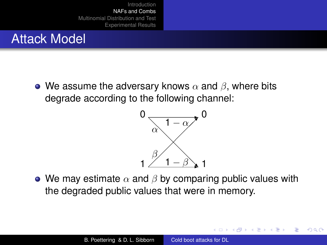### Attack Model

• We assume the adversary knows  $\alpha$  and  $\beta$ , where bits degrade according to the following channel:



• We may estimate  $\alpha$  and  $\beta$  by comparing public values with the degraded public values that were in memory.

 $290$ 

<span id="page-21-0"></span>ă

K 御 ▶ K ヨ ▶ K ヨ ▶

4 0 8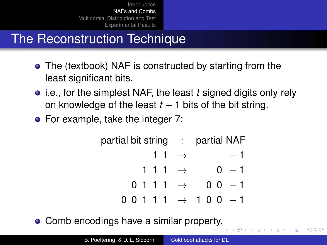# The Reconstruction Technique

- The (textbook) NAF is constructed by starting from the least significant bits.
- i.e., for the simplest NAF, the least *t* signed digits only rely on knowledge of the least  $t + 1$  bits of the bit string.
- For example, take the integer 7:

|  |  |                     | partial bit string : partial NAF          |  |  |
|--|--|---------------------|-------------------------------------------|--|--|
|  |  | 1 1 $\rightarrow$   | $-1$                                      |  |  |
|  |  | 1 1 1 $\rightarrow$ | $0 - 1$                                   |  |  |
|  |  |                     | $0111 \rightarrow 00 -1$                  |  |  |
|  |  |                     | $0\;0\;1\;1\;1\;\rightarrow\;1\;0\;0\;-1$ |  |  |

 $2Q$ 

□▶ (伊) (三)

• Comb encodings have a similar prope[rty](#page-21-0).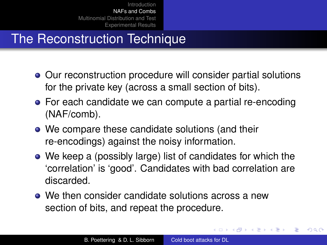# The Reconstruction Technique

- Our reconstruction procedure will consider partial solutions for the private key (across a small section of bits).
- For each candidate we can compute a partial re-encoding (NAF/comb).
- We compare these candidate solutions (and their re-encodings) against the noisy information.
- We keep a (possibly large) list of candidates for which the 'correlation' is 'good'. Candidates with bad correlation are discarded.
- We then consider candidate solutions across a new section of bits, and repeat the procedure.

4 個 ▶ 4 ヨ ▶ 4

重き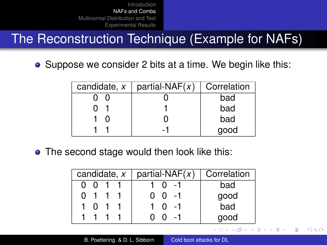The Reconstruction Technique (Example for NAFs)

• Suppose we consider 2 bits at a time. We begin like this:

| candidate, x | partial-NAF $(x)$ | Correlation |
|--------------|-------------------|-------------|
|              |                   | bad         |
|              |                   | bad         |
|              |                   | bad         |
|              |                   | good        |

• The second stage would then look like this:

| candidate, x |  |  |  | partial-NAF $(x)$  | Correlation |  |
|--------------|--|--|--|--------------------|-------------|--|
|              |  |  |  |                    | bad         |  |
|              |  |  |  | $0 - 1$            | good        |  |
|              |  |  |  | $0 - 1$            | -<br>bad    |  |
|              |  |  |  | - 1<br>$^{\prime}$ | good        |  |

 $\langle \oplus \rangle$  >  $\langle \oplus \rangle$  >  $\langle \oplus \rangle$ 

4 0 8

÷.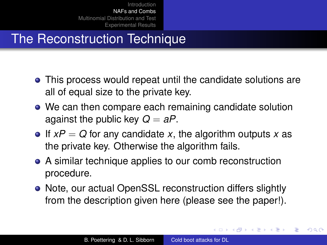# The Reconstruction Technique

- This process would repeat until the candidate solutions are all of equal size to the private key.
- We can then compare each remaining candidate solution against the public key  $Q = aP$ .
- $\bullet$  If  $xP = Q$  for any candidate x, the algorithm outputs x as the private key. Otherwise the algorithm fails.
- A similar technique applies to our comb reconstruction procedure.
- Note, our actual OpenSSL reconstruction differs slightly from the description given here (please see the paper!).

 $\left\{ \begin{array}{ccc} 1 & 0 & 0 \\ 0 & 1 & 0 \end{array} \right.$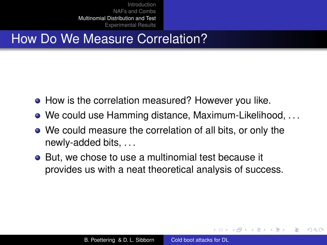## How Do We Measure Correlation?

- How is the correlation measured? However you like.
- We could use Hamming distance, Maximum-Likelihood, . . .
- We could measure the correlation of all bits, or only the newly-added bits, . . .
- But, we chose to use a multinomial test because it provides us with a neat theoretical analysis of success.

 $\langle \oplus \rangle$  >  $\langle \oplus \rangle$  >  $\langle \oplus \rangle$ 

<span id="page-26-0"></span>ă.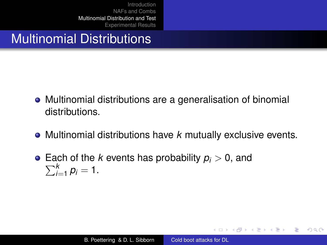### Multinomial Distributions

- Multinomial distributions are a generalisation of binomial distributions.
- Multinomial distributions have *k* mutually exclusive events.
- Each of the *k* events has probability *p<sup>i</sup>* > 0, and  $\sum_{i=1}^{k}$  $\sum_{i=1}^k p_i = 1.$

イロト イ押 トイヨ トイヨ トー

÷.  $QQ$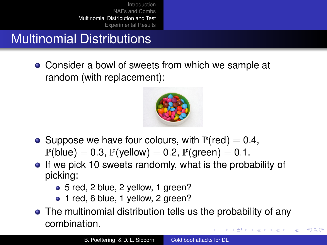# Multinomial Distributions

• Consider a bowl of sweets from which we sample at random (with replacement):



- Suppose we have four colours, with  $P(\text{red}) = 0.4$ ,  $\mathbb{P}(\text{blue}) = 0.3$ ,  $\mathbb{P}(\text{yellow}) = 0.2$ ,  $\mathbb{P}(\text{green}) = 0.1$ .
- If we pick 10 sweets randomly, what is the probability of picking:
	- 5 red, 2 blue, 2 yellow, 1 green?
	- 1 red, 6 blue, 1 yellow, 2 green?
- The multinomial distribution tells us the probability of any combination. イロメ イ押 メイヨメ イヨメ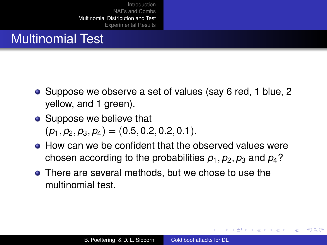### Multinomial Test

- Suppose we observe a set of values (say 6 red, 1 blue, 2 yellow, and 1 green).
- Suppose we believe that  $(p_1, p_2, p_3, p_4) = (0.5, 0.2, 0.2, 0.1).$
- How can we be confident that the observed values were chosen according to the probabilities  $p_1$ ,  $p_2$ ,  $p_3$  and  $p_4$ ?
- There are several methods, but we chose to use the multinomial test.

 $\langle \oplus \rangle$  >  $\langle \oplus \rangle$  >  $\langle \oplus \rangle$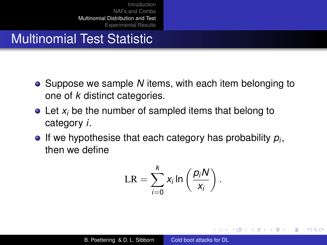### Multinomial Test Statistic

- Suppose we sample *N* items, with each item belonging to one of *k* distinct categories.
- Let *x<sub>i</sub>* be the number of sampled items that belong to category *i*.
- If we hypothesise that each category has probability *p<sup>i</sup>* , then we define

$$
LR = \sum_{i=0}^{k} x_i \ln \left( \frac{p_i N}{x_i} \right).
$$

イロト イ押 トイヨ トイヨト

÷.  $QQ$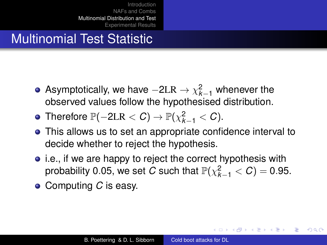### Multinomial Test Statistic

- Asymptotically, we have  $-2LR \rightarrow \chi^2_{k-1}$  whenever the observed values follow the hypothesised distribution.
- Therefore  $\mathbb{P}(-2LR < C) \to \mathbb{P}(\chi^2_{k-1} < C)$ .
- This allows us to set an appropriate confidence interval to decide whether to reject the hypothesis.
- i.e., if we are happy to reject the correct hypothesis with probability 0.05, we set *C* such that  $\mathbb{P}(\chi^2_{k-1} < C) = 0.95$ .
- Computing *C* is easy.

**K ロ ト K 何 ト K ヨ ト K ヨ ト**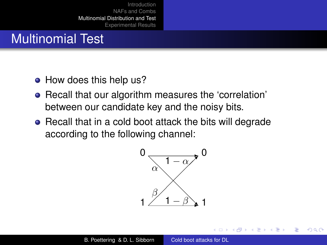### Multinomial Test

- How does this help us?
- Recall that our algorithm measures the 'correlation' between our candidate key and the noisy bits.
- Recall that in a cold boot attack the bits will degrade according to the following channel:



 $2990$ 

重き ă.

⊀ 伊 ▶ ∢ 重 ▶ ∢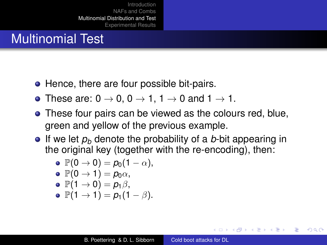### Multinomial Test

- Hence, there are four possible bit-pairs.
- These are:  $0 \rightarrow 0$ ,  $0 \rightarrow 1$ ,  $1 \rightarrow 0$  and  $1 \rightarrow 1$ .
- These four pairs can be viewed as the colours red, blue, green and yellow of the previous example.
- **If** we let  $p_b$  denote the probability of a *b*-bit appearing in the original key (together with the re-encoding), then:

$$
\bullet\ \mathbb{P}(0\rightarrow 0)=\rho_0(1-\alpha),
$$

$$
\bullet \ \mathbb{P}(0 \to 1) = p_0 \alpha,
$$

$$
\bullet \ \mathbb{P}(1 \to 0) = p_1 \beta,
$$

$$
\bullet \ \mathbb{P}(1 \to 1) = p_1(1-\beta).
$$

 $2Q$ 

∢ ロ ▶ ∢ 何 ▶ ∢ 后 ▶ ∢ 后 ▶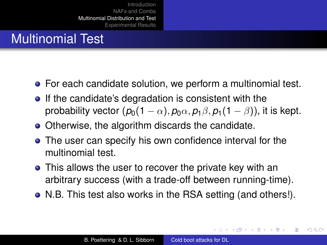### Multinomial Test

- For each candidate solution, we perform a multinomial test.
- If the candidate's degradation is consistent with the probability vector  $(p_0(1 - \alpha), p_0\alpha, p_1\beta, p_1(1 - \beta))$ , it is kept.
- Otherwise, the algorithm discards the candidate.
- The user can specify his own confidence interval for the multinomial test.
- This allows the user to recover the private key with an arbitrary success (with a trade-off between running-time).
- N.B. This test also works in the RSA setting (and others!).

 $\left\{ \begin{array}{ccc} 1 & 0 & 0 \\ 0 & 1 & 0 \end{array} \right.$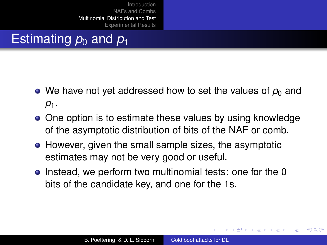# Estimating  $p_0$  and  $p_1$

- We have not yet addressed how to set the values of  $p_0$  and *p*1.
- One option is to estimate these values by using knowledge of the asymptotic distribution of bits of the NAF or comb.
- However, given the small sample sizes, the asymptotic estimates may not be very good or useful.
- Instead, we perform two multinomial tests: one for the 0 bits of the candidate key, and one for the 1s.

④ → ④ ⇒ ④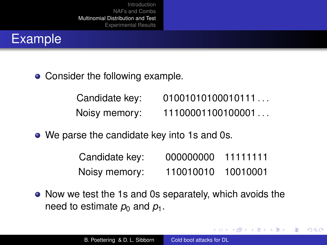

• Consider the following example.

| Candidate key: | 01001010100010111 |
|----------------|-------------------|
| Noisy memory:  | 11100001100100001 |

• We parse the candidate key into 1s and 0s.

| Candidate key: | 000000000 | 11111111 |
|----------------|-----------|----------|
| Noisy memory:  | 110010010 | 10010001 |

 $\left\{ \begin{array}{ccc} 1 & 0 & 0 \\ 0 & 1 & 0 \end{array} \right.$ 

B

 $QQ$ 

• Now we test the 1s and 0s separately, which avoids the need to estimate  $p_0$  and  $p_1$ .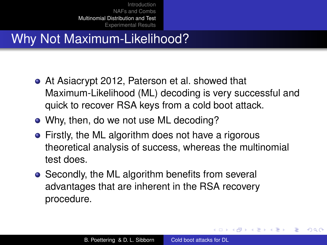# Why Not Maximum-Likelihood?

- At Asiacrypt 2012, Paterson et al. showed that Maximum-Likelihood (ML) decoding is very successful and quick to recover RSA keys from a cold boot attack.
- Why, then, do we not use ML decoding?
- Firstly, the ML algorithm does not have a rigorous theoretical analysis of success, whereas the multinomial test does.
- Secondly, the ML algorithm benefits from several advantages that are inherent in the RSA recovery procedure.

イロメ イ押 メイヨメ イヨメ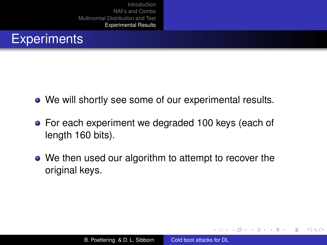### **Experiments**

- We will shortly see some of our experimental results.
- For each experiment we degraded 100 keys (each of length 160 bits).
- We then used our algorithm to attempt to recover the original keys.

K 御 ▶ K ヨ ▶ K ヨ ▶

4 0 8

<span id="page-38-0"></span>ă.  $QQ$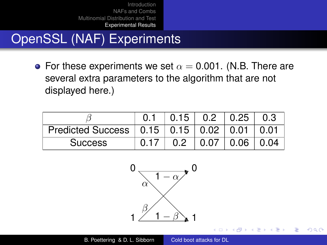OpenSSL (NAF) Experiments

• For these experiments we set  $\alpha = 0.001$ . (N.B. There are several extra parameters to the algorithm that are not displayed here.)

|                                               | $0.15$ $\mid$ 0.2 |      | $\vert$ 0.25 | 0.3  |
|-----------------------------------------------|-------------------|------|--------------|------|
| Predicted Success   0.15   0.15   0.02   0.01 |                   |      |              | 0.01 |
| <b>Success</b>                                |                   | 0.07 | 0.06         | 0.04 |



イロメ イ押 メイヨメ イヨメ

B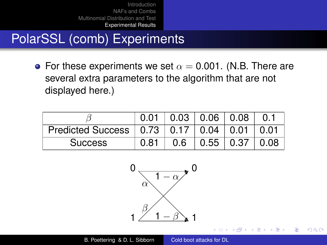PolarSSL (comb) Experiments

• For these experiments we set  $\alpha = 0.001$ . (N.B. There are several extra parameters to the algorithm that are not displayed here.)

|                                               | 0.01 | $\vert$ 0.03 $\vert$ 0.06 $\vert$ 0.08 |      |      |      |
|-----------------------------------------------|------|----------------------------------------|------|------|------|
| Predicted Success   0.73   0.17   0.04   0.01 |      |                                        |      |      | 0.01 |
| <b>Success</b>                                | 0.81 | 0.6                                    | 0.55 | 0.37 | 0.08 |



イロメ イ押 メイヨメ イヨメ

B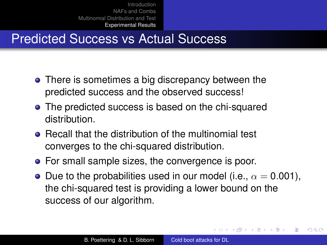# Predicted Success vs Actual Success

- There is sometimes a big discrepancy between the predicted success and the observed success!
- The predicted success is based on the chi-squared distribution.
- **Recall that the distribution of the multinomial test** converges to the chi-squared distribution.
- For small sample sizes, the convergence is poor.
- Due to the probabilities used in our model (i.e.,  $\alpha = 0.001$ ), the chi-squared test is providing a lower bound on the success of our algorithm.

イロメ イ押 メイヨメ イヨメ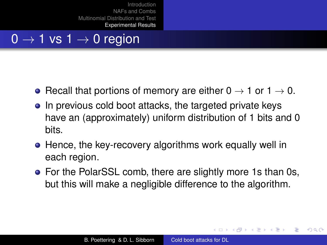### $0 \rightarrow 1$  vs  $1 \rightarrow 0$  region

- Recall that portions of memory are either  $0 \rightarrow 1$  or  $1 \rightarrow 0$ .
- In previous cold boot attacks, the targeted private keys have an (approximately) uniform distribution of 1 bits and 0 bits.
- Hence, the key-recovery algorithms work equally well in each region.
- For the PolarSSL comb, there are slightly more 1s than 0s, but this will make a negligible difference to the algorithm.

**≮ロト ⊀ 何 ト ⊀ ヨ ト ⊀ ヨ ト**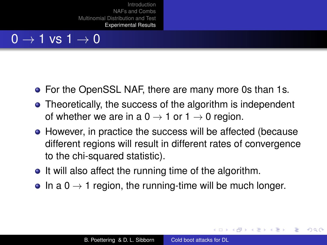### $0 \rightarrow 1$  vs  $1 \rightarrow 0$

- For the OpenSSL NAF, there are many more 0s than 1s.
- Theoretically, the success of the algorithm is independent of whether we are in a  $0 \rightarrow 1$  or  $1 \rightarrow 0$  region.
- However, in practice the success will be affected (because different regions will result in different rates of convergence to the chi-squared statistic).
- It will also affect the running time of the algorithm.
- In a  $0 \rightarrow 1$  region, the running-time will be much longer.

イロメ イ押 メイヨメ イヨメ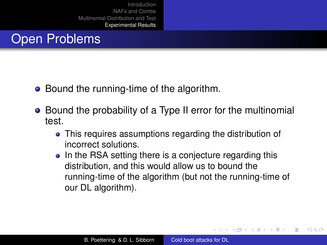### Open Problems

- Bound the running-time of the algorithm.
- Bound the probability of a Type II error for the multinomial test.
	- This requires assumptions regarding the distribution of incorrect solutions.
	- In the RSA setting there is a conjecture regarding this distribution, and this would allow us to bound the running-time of the algorithm (but not the running-time of our DL algorithm).

K ロ ⊁ K 何 ≯ K ヨ ⊁ K ヨ ⊁